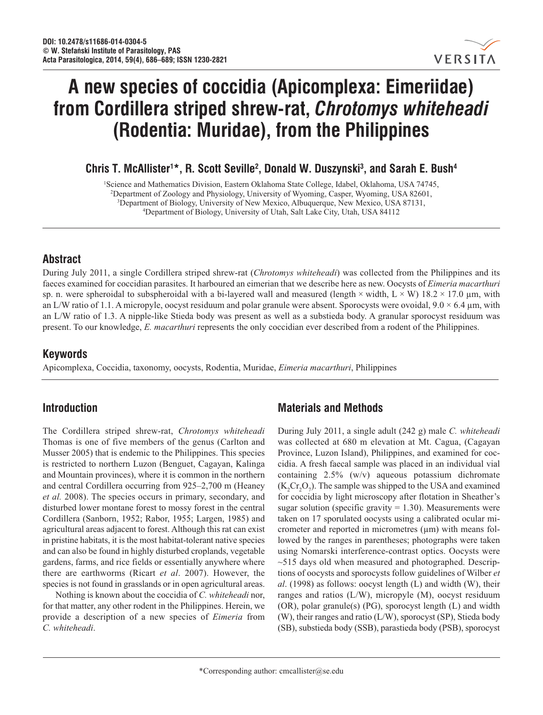

# **A new species of coccidia (Apicomplexa: Eimeriidae) from Cordillera striped shrew-rat,** *Chrotomys whiteheadi* **(Rodentia: Muridae), from the Philippines**

**Chris T. McAllister1 \*, R. Scott Seville2 , Donald W. Duszynski3 , and Sarah E. Bush4**

1 Science and Mathematics Division, Eastern Oklahoma State College, Idabel, Oklahoma, USA 74745, 2 Department of Zoology and Physiology, University of Wyoming, Casper, Wyoming, USA 82601, <sup>3</sup>Department of Biology, University of New Mexico, Albuquerque, New Mexico, USA 87131, <sup>4</sup>Department of Biology University of Utah, Salt Lake City, Utah, USA 84112 Department of Biology, University of Utah, Salt Lake City, Utah, USA 84112

## **Abstract**

During July 2011, a single Cordillera striped shrew-rat (*Chrotomys whiteheadi*) was collected from the Philippines and its faeces examined for coccidian parasites. It harboured an eimerian that we describe here as new. Oocysts of *Eimeria macarthuri* sp. n. were spheroidal to subspheroidal with a bi-layered wall and measured (length  $\times$  width,  $L \times W$ ) 18.2  $\times$  17.0 µm, with an L/W ratio of 1.1. A micropyle, oocyst residuum and polar granule were absent. Sporocysts were ovoidal,  $9.0 \times 6.4 \mu m$ , with an L/W ratio of 1.3. A nipple-like Stieda body was present as well as a substieda body. A granular sporocyst residuum was present. To our knowledge, *E. macarthuri* represents the only coccidian ever described from a rodent of the Philippines.

## **Keywords**

Apicomplexa, Coccidia, taxonomy, oocysts, Rodentia, Muridae, *Eimeria macarthuri*, Philippines

# **Introduction**

The Cordillera striped shrew-rat, *Chrotomys whiteheadi* Thomas is one of five members of the genus (Carlton and Musser 2005) that is endemic to the Philippines. This species is restricted to northern Luzon (Benguet, Cagayan, Kalinga and Mountain provinces), where it is common in the northern and central Cordillera occurring from 925–2,700 m (Heaney *et al.* 2008). The species occurs in primary, secondary, and disturbed lower montane forest to mossy forest in the central Cordillera (Sanborn, 1952; Rabor, 1955; Largen, 1985) and agricultural areas adjacent to forest. Although this rat can exist in pristine habitats, it is the most habitat-tolerant native species and can also be found in highly disturbed croplands, vegetable gardens, farms, and rice fields or essentially anywhere where there are earthworms (Ricart *et al*. 2007). However, the species is not found in grasslands or in open agricultural areas.

Nothing is known about the coccidia of *C. whiteheadi* nor, for that matter, any other rodent in the Philippines. Herein, we provide a description of a new species of *Eimeria* from *C. whiteheadi*.

# **Materials and Methods**

During July 2011, a single adult (242 g) male *C. whiteheadi* was collected at 680 m elevation at Mt. Cagua, (Cagayan Province, Luzon Island), Philippines, and examined for coccidia. A fresh faecal sample was placed in an individual vial containing 2.5% (w/v) aqueous potassium dichromate  $(K_2Cr_2O_7)$ . The sample was shipped to the USA and examined for coccidia by light microscopy after flotation in Sheather's sugar solution (specific gravity  $= 1.30$ ). Measurements were taken on 17 sporulated oocysts using a calibrated ocular micrometer and reported in micrometres  $(\mu m)$  with means followed by the ranges in parentheses; photographs were taken using Nomarski interference-contrast optics. Oocysts were  $\sim$ 515 days old when measured and photographed. Descriptions of oocysts and sporocysts follow guidelines of Wilber *et al*. (1998) as follows: oocyst length (L) and width (W), their ranges and ratios (L/W), micropyle (M), oocyst residuum (OR), polar granule(s) (PG), sporocyst length (L) and width (W), their ranges and ratio (L/W), sporocyst (SP), Stieda body (SB), substieda body (SSB), parastieda body (PSB), sporocyst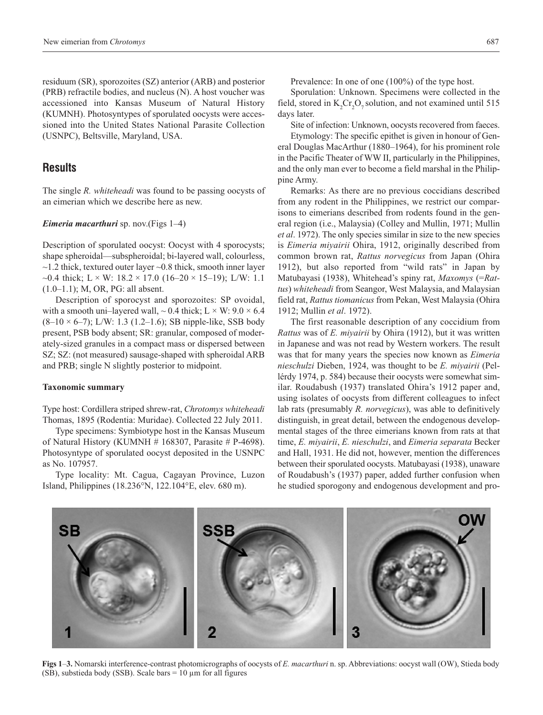residuum (SR), sporozoites (SZ) anterior (ARB) and posterior (PRB) refractile bodies, and nucleus (N). A host voucher was accessioned into Kansas Museum of Natural History (KUMNH). Photosyntypes of sporulated oocysts were accessioned into the United States National Parasite Collection (USNPC), Beltsville, Maryland, USA.

### **Results**

The single *R. whiteheadi* was found to be passing oocysts of an eimerian which we describe here as new.

#### *Eimeria macarthuri* sp. nov.(Figs 1–4)

Description of sporulated oocyst: Oocyst with 4 sporocysts; shape spheroidal—subspheroidal; bi-layered wall, colourless,  $\sim$ 1.2 thick, textured outer layer  $\sim$ 0.8 thick, smooth inner layer ~0.4 thick; L  $\times$  W: 18.2  $\times$  17.0 (16–20  $\times$  15–19); L/W: 1.1 (1.0–1.1); M, OR, PG: all absent.

Description of sporocyst and sporozoites: SP ovoidal, with a smooth uni–layered wall,  $\sim 0.4$  thick; L  $\times$  W: 9.0  $\times$  6.4  $(8-10 \times 6-7)$ ; L/W: 1.3 (1.2–1.6); SB nipple-like, SSB body present, PSB body absent; SR: granular, composed of moderately-sized granules in a compact mass or dispersed between SZ; SZ: (not measured) sausage-shaped with spheroidal ARB and PRB; single N slightly posterior to midpoint.

#### **Taxonomic summary**

Type host: Cordillera striped shrew-rat, *Chrotomys whiteheadi* Thomas, 1895 (Rodentia: Muridae). Collected 22 July 2011.

Type specimens: Symbiotype host in the Kansas Museum of Natural History (KUMNH  $# 168307$ , Parasite  $# P-4698$ ). Photosyntype of sporulated oocyst deposited in the USNPC as No. 107957.

Type locality: Mt. Cagua, Cagayan Province, Luzon Island, Philippines (18.236°N, 122.104°E, elev. 680 m).

Prevalence: In one of one (100%) of the type host.

Sporulation: Unknown. Specimens were collected in the field, stored in  $K_2Cr_2O_7$  solution, and not examined until 515 days later.

Site of infection: Unknown, oocysts recovered from faeces.

Etymology: The specific epithet is given in honour of General Douglas MacArthur (1880–1964), for his prominent role in the Pacific Theater of WW II, particularly in the Philippines, and the only man ever to become a field marshal in the Philippine Army.

Remarks: As there are no previous coccidians described from any rodent in the Philippines, we restrict our comparisons to eimerians described from rodents found in the general region (i.e., Malaysia) (Colley and Mullin, 1971; Mullin *et al*. 1972). The only species similar in size to the new species is *Eimeria miyairii* Ohira, 1912, originally described from common brown rat, *Rattus norvegicus* from Japan (Ohira 1912), but also reported from "wild rats" in Japan by Matubayasi (1938), Whitehead's spiny rat, *Maxomys* (=*Rattus*) *whiteheadi* from Seangor, West Malaysia, and Malaysian field rat, *Rattus tiomanicus* from Pekan, West Malaysia (Ohira 1912; Mullin *et al*. 1972).

The first reasonable description of any coccidium from *Rattus* was of *E. miyairii* by Ohira (1912), but it was written in Japanese and was not read by Western workers. The result was that for many years the species now known as *Eimeria nieschulzi* Dieben, 1924, was thought to be *E. miyairii* (Pellérdy 1974, p. 584) because their oocysts were somewhat similar. Roudabush (1937) translated Ohira's 1912 paper and, using isolates of oocysts from different colleagues to infect lab rats (presumably *R. norvegicus*), was able to definitively distinguish, in great detail, between the endogenous developmental stages of the three eimerians known from rats at that time, *E. miyairii*, *E. nieschulzi*, and *Eimeria separata* Becker and Hall, 1931. He did not, however, mention the differences between their sporulated oocysts. Matubayasi (1938), unaware of Roudabush's (1937) paper, added further confusion when he studied sporogony and endogenous development and pro-



**Figs 1**–**3.** Nomarski interference-contrast photomicrographs of oocysts of *E. macarthuri* n. sp. Abbreviations: oocyst wall (OW), Stieda body (SB), substieda body (SSB). Scale bars  $= 10 \mu m$  for all figures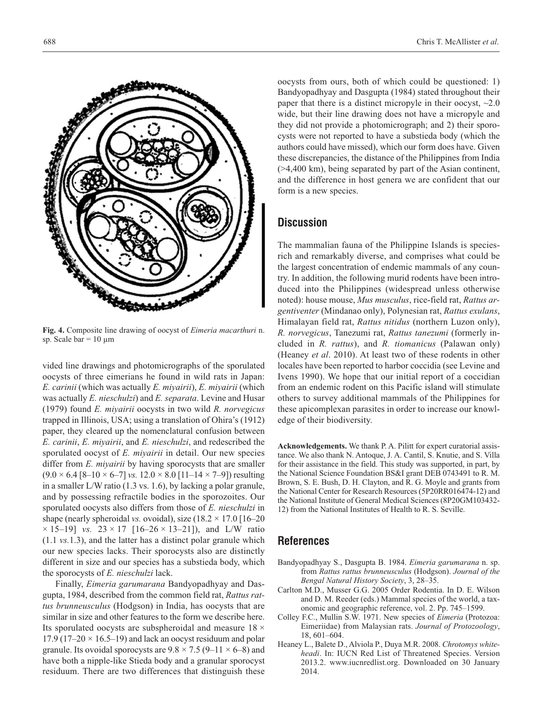

**Fig. 4.** Composite line drawing of oocyst of *Eimeria macarthuri* n. sp. Scale bar =  $10 \mu m$ 

vided line drawings and photomicrographs of the sporulated oocysts of three eimerians he found in wild rats in Japan: *E. carinii* (which was actually *E. miyairii*), *E. miyairii* (which was actually *E. nieschulzi*) and *E. separata*. Levine and Husar (1979) found *E. miyairii* oocysts in two wild *R. norvegicus* trapped in Illinois, USA; using a translation of Ohira's (1912) paper, they cleared up the nomenclatural confusion between *E. carinii*, *E. miyairii*, and *E. nieschulzi*, and redescribed the sporulated oocyst of *E. miyairii* in detail. Our new species differ from *E. miyairii* by having sporocysts that are smaller  $(9.0 \times 6.4 [8 - 10 \times 6 - 7]$  *vs.*  $12.0 \times 8.0 [11 - 14 \times 7 - 9]$  resulting in a smaller L/W ratio (1.3 vs. 1.6), by lacking a polar granule, and by possessing refractile bodies in the sporozoites. Our sporulated oocysts also differs from those of *E. nieschulzi* in shape (nearly spheroidal *vs.* ovoidal), size  $(18.2 \times 17.0)$  [16–20]  $\times$  15–19] *vs.* 23  $\times$  17 [16–26  $\times$  13–21]), and L/W ratio (1.1 *vs.*1.3), and the latter has a distinct polar granule which our new species lacks. Their sporocysts also are distinctly different in size and our species has a substieda body, which the sporocysts of *E. nieschulzi* lack.

Finally, *Eimeria garumarana* Bandyopadhyay and Dasgupta, 1984, described from the common field rat, *Rattus rattus brunneusculus* (Hodgson) in India, has oocysts that are similar in size and other features to the form we describe here. Its sporulated oocysts are subspheroidal and measure  $18 \times$ 17.9 (17–20  $\times$  16.5–19) and lack an oocyst residuum and polar granule. Its ovoidal sporocysts are  $9.8 \times 7.5$  (9–11  $\times$  6–8) and have both a nipple-like Stieda body and a granular sporocyst residuum. There are two differences that distinguish these oocysts from ours, both of which could be questioned: 1) Bandyopadhyay and Dasgupta (1984) stated throughout their paper that there is a distinct micropyle in their oocyst,  $\sim 2.0$ wide, but their line drawing does not have a micropyle and they did not provide a photomicrograph; and 2) their sporocysts were not reported to have a substieda body (which the authors could have missed), which our form does have. Given these discrepancies, the distance of the Philippines from India (>4,400 km), being separated by part of the Asian continent, and the difference in host genera we are confident that our form is a new species.

## **Discussion**

The mammalian fauna of the Philippine Islands is speciesrich and remarkably diverse, and comprises what could be the largest concentration of endemic mammals of any country. In addition, the following murid rodents have been introduced into the Philippines (widespread unless otherwise noted): house mouse, *Mus musculus*, rice-field rat, *Rattus argentiventer* (Mindanao only), Polynesian rat, *Rattus exulans*, Himalayan field rat, *Rattus nitidus* (northern Luzon only), *R. norvegicus*, Tanezumi rat, *Rattus tanezumi* (formerly included in *R. rattus*), and *R. tiomanicus* (Palawan only) (Heaney *et al*. 2010). At least two of these rodents in other locales have been reported to harbor coccidia (see Levine and Ivens 1990). We hope that our initial report of a coccidian from an endemic rodent on this Pacific island will stimulate others to survey additional mammals of the Philippines for these apicomplexan parasites in order to increase our knowledge of their biodiversity.

**Acknowledgements.** We thank P. A. Pilitt for expert curatorial assistance. We also thank N. Antoque, J. A. Cantil, S. Knutie, and S. Villa for their assistance in the field. This study was supported, in part, by the National Science Foundation BS&I grant DEB 0743491 to R. M. Brown, S. E. Bush, D. H. Clayton, and R. G. Moyle and grants from the National Center for Research Resources (5P20RR016474-12) and the National Institute of General Medical Sciences (8P20GM103432- 12) from the National Institutes of Health to R. S. Seville.

#### **References**

- Bandyopadhyay S., Dasgupta B. 1984. *Eimeria garumarana* n. sp. from *Rattus rattus brunneusculus* (Hodgson). *Journal of the Bengal Natural History Society*, 3, 28–35.
- Carlton M.D., Musser G.G. 2005 Order Rodentia. In D. E. Wilson and D. M. Reeder (eds.) Mammal species of the world, a taxonomic and geographic reference, vol. 2. Pp. 745–1599.
- Colley F.C., Mullin S.W. 1971. New species of *Eimeria* (Protozoa: Eimeriidae) from Malaysian rats. *Journal of Protozoology*, 18, 601–604.
- Heaney L., Balete D., Alviola P., Duya M.R. 2008. *Chrotomys whiteheadi*. In: IUCN Red List of Threatened Species. Version 2013.2. www.iucnredlist.org. Downloaded on 30 January 2014.